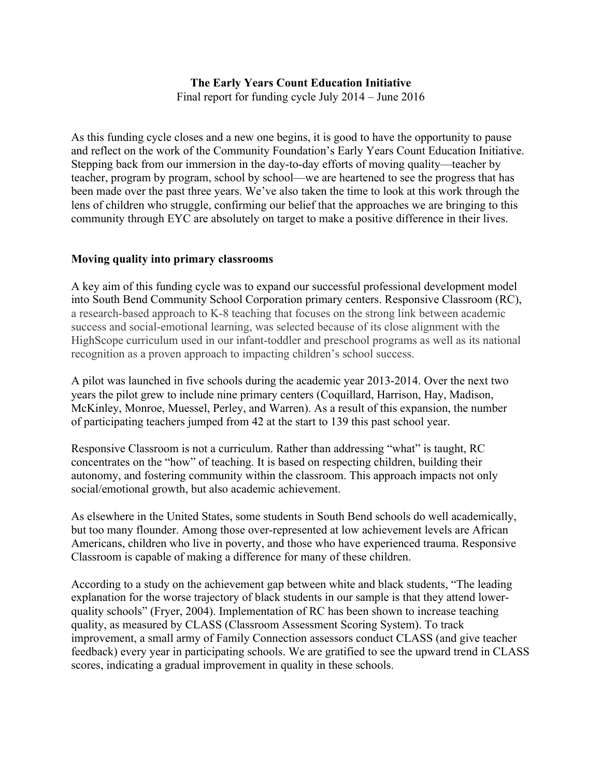# **The Early Years Count Education Initiative**

Final report for funding cycle July 2014 – June 2016

As this funding cycle closes and a new one begins, it is good to have the opportunity to pause and reflect on the work of the Community Foundation's Early Years Count Education Initiative. Stepping back from our immersion in the day-to-day efforts of moving quality—teacher by teacher, program by program, school by school—we are heartened to see the progress that has been made over the past three years. We've also taken the time to look at this work through the lens of children who struggle, confirming our belief that the approaches we are bringing to this community through EYC are absolutely on target to make a positive difference in their lives.

## **Moving quality into primary classrooms**

A key aim of this funding cycle was to expand our successful professional development model into South Bend Community School Corporation primary centers. Responsive Classroom (RC), a research-based approach to K-8 teaching that focuses on the strong link between academic success and social-emotional learning, was selected because of its close alignment with the HighScope curriculum used in our infant-toddler and preschool programs as well as its national recognition as a proven approach to impacting children's school success.

A pilot was launched in five schools during the academic year 2013-2014. Over the next two years the pilot grew to include nine primary centers (Coquillard, Harrison, Hay, Madison, McKinley, Monroe, Muessel, Perley, and Warren). As a result of this expansion, the number of participating teachers jumped from 42 at the start to 139 this past school year.

Responsive Classroom is not a curriculum. Rather than addressing "what" is taught, RC concentrates on the "how" of teaching. It is based on respecting children, building their autonomy, and fostering community within the classroom. This approach impacts not only social/emotional growth, but also academic achievement.

As elsewhere in the United States, some students in South Bend schools do well academically, but too many flounder. Among those over-represented at low achievement levels are African Americans, children who live in poverty, and those who have experienced trauma. Responsive Classroom is capable of making a difference for many of these children.

According to a study on the achievement gap between white and black students, "The leading explanation for the worse trajectory of black students in our sample is that they attend lowerquality schools" (Fryer, 2004). Implementation of RC has been shown to increase teaching quality, as measured by CLASS (Classroom Assessment Scoring System). To track improvement, a small army of Family Connection assessors conduct CLASS (and give teacher feedback) every year in participating schools. We are gratified to see the upward trend in CLASS scores, indicating a gradual improvement in quality in these schools.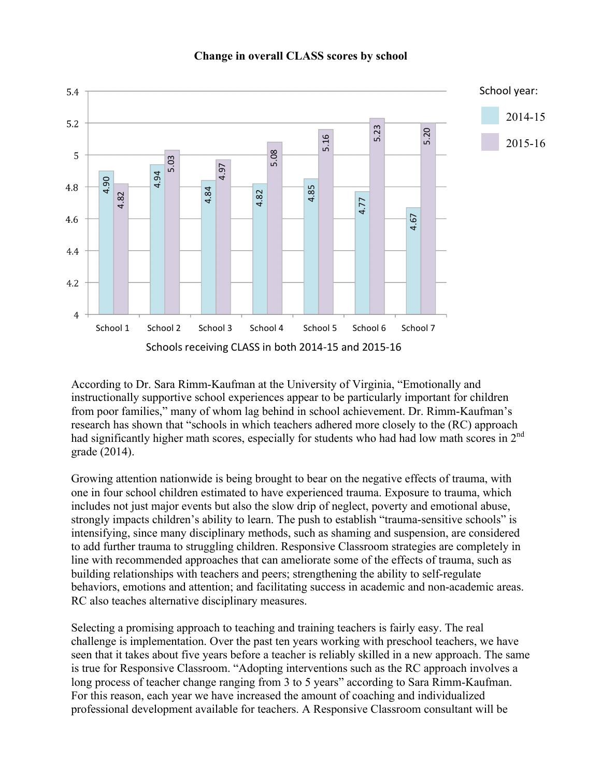

#### **Change in overall CLASS scores by school**

According to Dr. Sara Rimm-Kaufman at the University of Virginia, "Emotionally and instructionally supportive school experiences appear to be particularly important for children from poor families," many of whom lag behind in school achievement. Dr. Rimm-Kaufman's research has shown that "schools in which teachers adhered more closely to the (RC) approach had significantly higher math scores, especially for students who had had low math scores in 2<sup>nd</sup> grade (2014).

Growing attention nationwide is being brought to bear on the negative effects of trauma, with one in four school children estimated to have experienced trauma. Exposure to trauma, which includes not just major events but also the slow drip of neglect, poverty and emotional abuse, strongly impacts children's ability to learn. The push to establish "trauma-sensitive schools" is intensifying, since many disciplinary methods, such as shaming and suspension, are considered to add further trauma to struggling children. Responsive Classroom strategies are completely in line with recommended approaches that can ameliorate some of the effects of trauma, such as building relationships with teachers and peers; strengthening the ability to self-regulate behaviors, emotions and attention; and facilitating success in academic and non-academic areas. RC also teaches alternative disciplinary measures.

Selecting a promising approach to teaching and training teachers is fairly easy. The real challenge is implementation. Over the past ten years working with preschool teachers, we have seen that it takes about five years before a teacher is reliably skilled in a new approach. The same is true for Responsive Classroom. "Adopting interventions such as the RC approach involves a long process of teacher change ranging from 3 to 5 years" according to Sara Rimm-Kaufman. For this reason, each year we have increased the amount of coaching and individualized professional development available for teachers. A Responsive Classroom consultant will be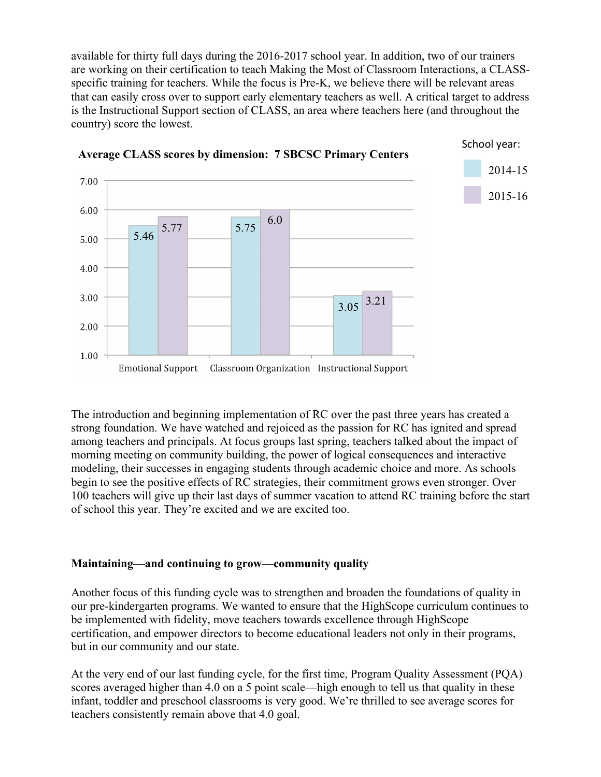available for thirty full days during the 2016-2017 school year. In addition, two of our trainers are working on their certification to teach Making the Most of Classroom Interactions, a CLASSspecific training for teachers. While the focus is Pre-K, we believe there will be relevant areas that can easily cross over to support early elementary teachers as well. A critical target to address is the Instructional Support section of CLASS, an area where teachers here (and throughout the country) score the lowest.



The introduction and beginning implementation of RC over the past three years has created a strong foundation. We have watched and rejoiced as the passion for RC has ignited and spread among teachers and principals. At focus groups last spring, teachers talked about the impact of morning meeting on community building, the power of logical consequences and interactive modeling, their successes in engaging students through academic choice and more. As schools begin to see the positive effects of RC strategies, their commitment grows even stronger. Over 100 teachers will give up their last days of summer vacation to attend RC training before the start of school this year. They're excited and we are excited too.

# **Maintaining—and continuing to grow—community quality**

Another focus of this funding cycle was to strengthen and broaden the foundations of quality in our pre-kindergarten programs. We wanted to ensure that the HighScope curriculum continues to be implemented with fidelity, move teachers towards excellence through HighScope certification, and empower directors to become educational leaders not only in their programs, but in our community and our state.

At the very end of our last funding cycle, for the first time, Program Quality Assessment (PQA) scores averaged higher than 4.0 on a 5 point scale—high enough to tell us that quality in these infant, toddler and preschool classrooms is very good. We're thrilled to see average scores for teachers consistently remain above that 4.0 goal.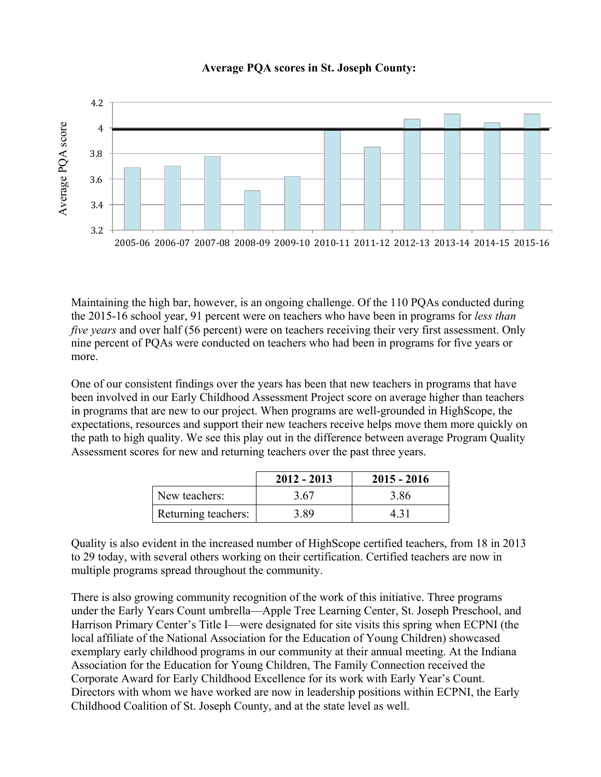## **Average PQA scores in St. Joseph County:**



Maintaining the high bar, however, is an ongoing challenge. Of the 110 PQAs conducted during the 2015-16 school year, 91 percent were on teachers who have been in programs for *less than five years* and over half (56 percent) were on teachers receiving their very first assessment. Only nine percent of PQAs were conducted on teachers who had been in programs for five years or more.

One of our consistent findings over the years has been that new teachers in programs that have been involved in our Early Childhood Assessment Project score on average higher than teachers in programs that are new to our project. When programs are well-grounded in HighScope, the expectations, resources and support their new teachers receive helps move them more quickly on the path to high quality. We see this play out in the difference between average Program Quality Assessment scores for new and returning teachers over the past three years.

|                     | $2012 - 2013$ | $2015 - 2016$ |
|---------------------|---------------|---------------|
| New teachers:       | 3.67          | 3.86          |
| Returning teachers: | 3.89          | 4 31          |

Quality is also evident in the increased number of HighScope certified teachers, from 18 in 2013 to 29 today, with several others working on their certification. Certified teachers are now in multiple programs spread throughout the community.

There is also growing community recognition of the work of this initiative. Three programs under the Early Years Count umbrella—Apple Tree Learning Center, St. Joseph Preschool, and Harrison Primary Center's Title I—were designated for site visits this spring when ECPNI (the local affiliate of the National Association for the Education of Young Children) showcased exemplary early childhood programs in our community at their annual meeting. At the Indiana Association for the Education for Young Children, The Family Connection received the Corporate Award for Early Childhood Excellence for its work with Early Year's Count. Directors with whom we have worked are now in leadership positions within ECPNI, the Early Childhood Coalition of St. Joseph County, and at the state level as well.